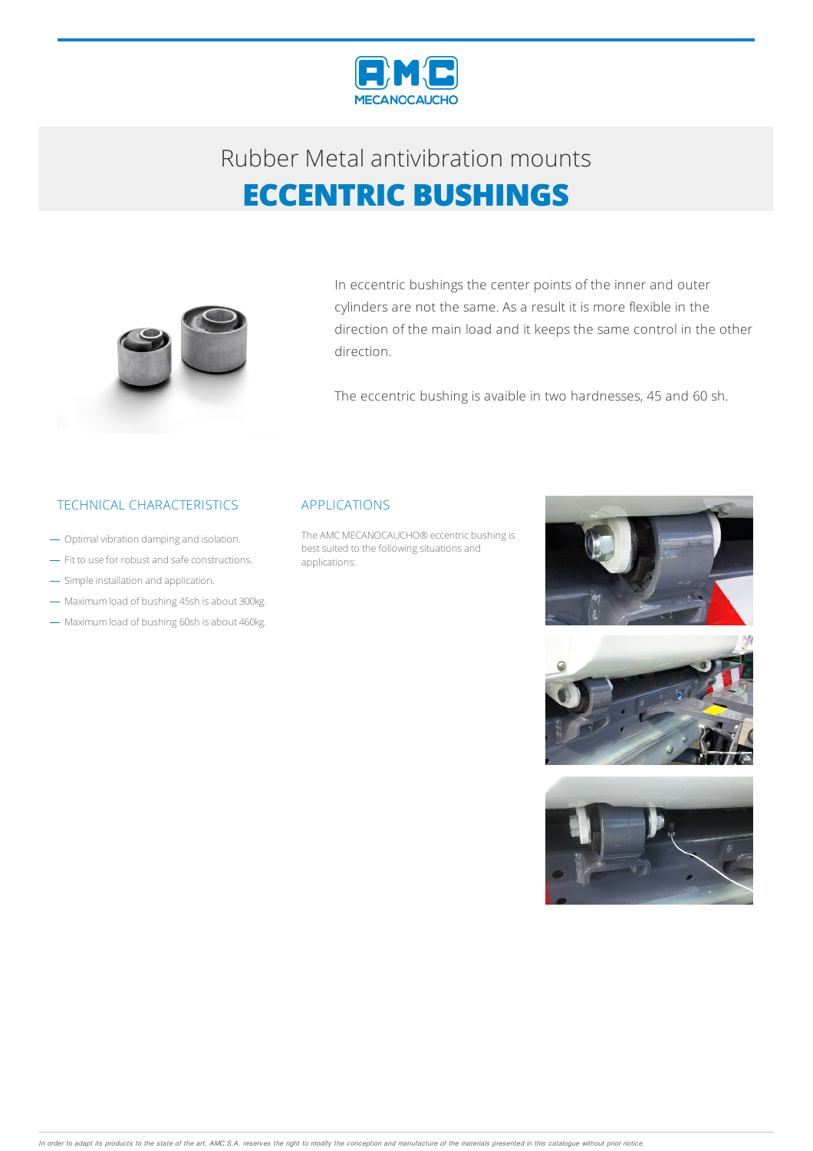



In eccentric bushings the center points of the inner and outer cylinders are not the same. As a result it is more flexible in the direction of the main load and it keeps the same control in the other direction.

The eccentric bushing is avaible in two hardnesses, 45 and 60 sh.

### TECHNICAL CHARACTERISTICS APPLICATIONS

- Optimal vibration damping and isolation.
- Fit to use for robust and safe constructions.
- Simple installation and application.
- Maximum load of bushing 45sh is about 300kg.
- Maximum load of bushing 60sh is about 460kg.

The AMC MECANOCAUCHO<sup>®</sup> eccentric bushing is best suited to the following situations and applications:





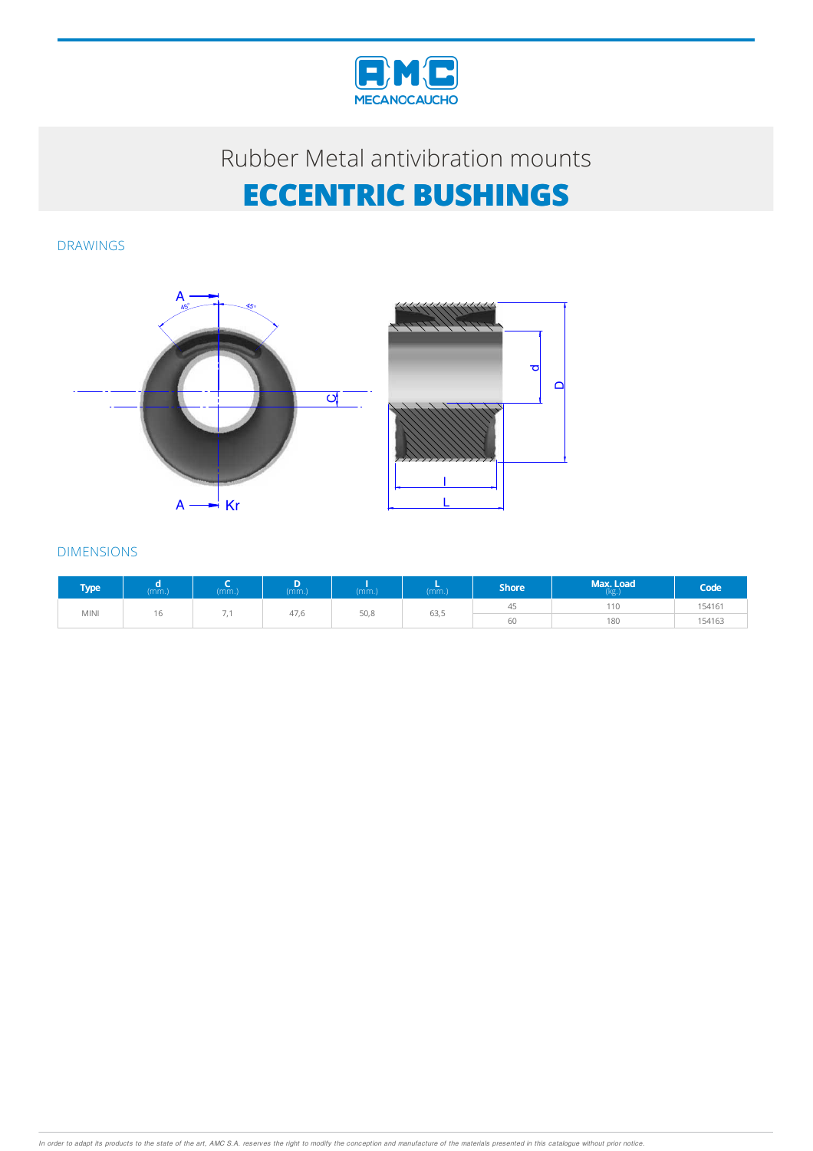

DRAWINGS





| <b>Type</b> | (mm.) | (mm.)                    | (mm) | (mm.) | (mm.) | Shore <sup>'</sup> | Max. Load<br>(kg) | Code <sup>'</sup> |
|-------------|-------|--------------------------|------|-------|-------|--------------------|-------------------|-------------------|
| <b>MINI</b> | 16    | $\overline{\phantom{a}}$ | 47,6 | 50,8  | 63,5  | 45                 | 110               | 154161            |
|             |       |                          |      |       |       | 60                 | 180               | 154163            |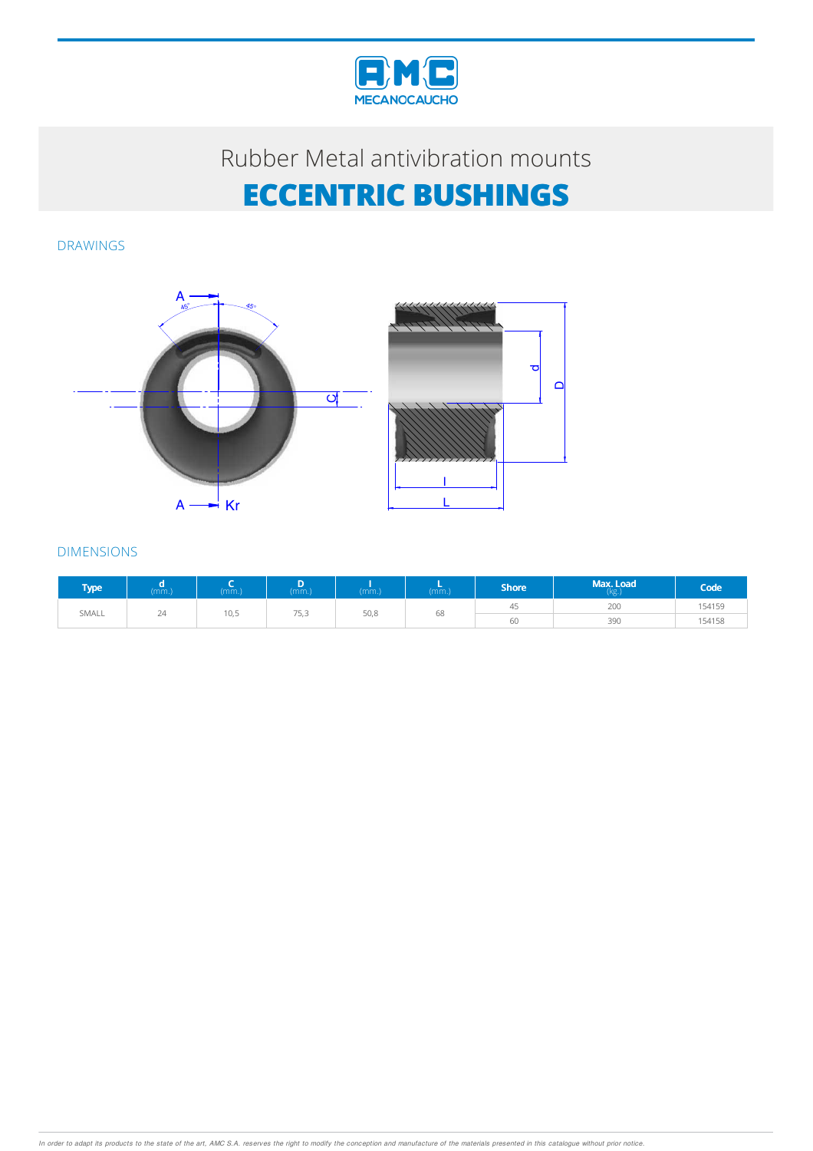

DRAWINGS





| <b>Type</b> | (mm) | (mm.) | (mm.) | (mm.) | (mm.) | <b>Shore</b> | Max. Load<br>(kg.) | Code <sup>1</sup> |
|-------------|------|-------|-------|-------|-------|--------------|--------------------|-------------------|
| SMALL       | 24   | 10,5  | 75,3  | 50,8  | 68    | 45           | 200                | 154159            |
|             |      |       |       |       |       | 60           | 39C                | 154158            |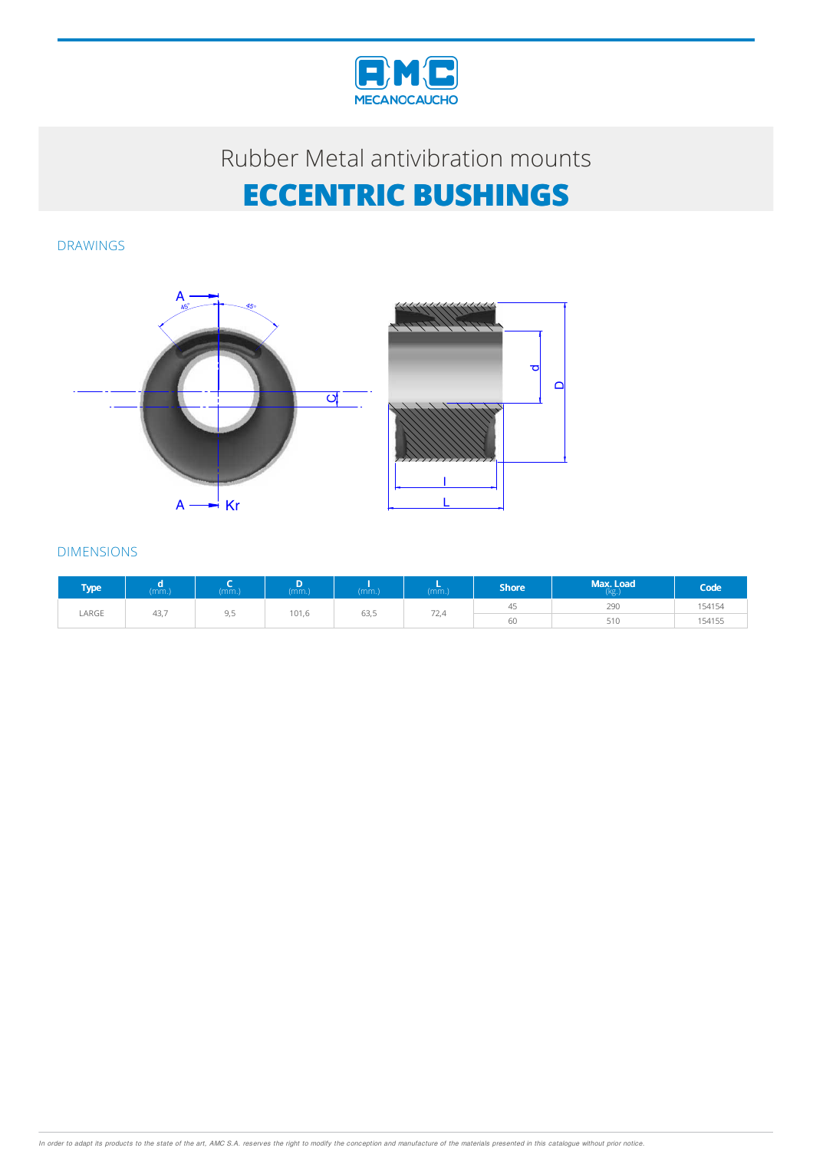

DRAWINGS





| <b>Type</b> | (mm.) | (mm.)                  | (mm.) | (mm.) | (mm) | <b>Shore</b> | Max. Load<br>(kg) | Code   |
|-------------|-------|------------------------|-------|-------|------|--------------|-------------------|--------|
| LARGE       | 43,7  | Q <sub>5</sub><br>ں رب | 101,6 | 63,5  | 72,4 | 45           | 290               | 154154 |
|             |       |                        |       |       |      | 60           | 510               | 154155 |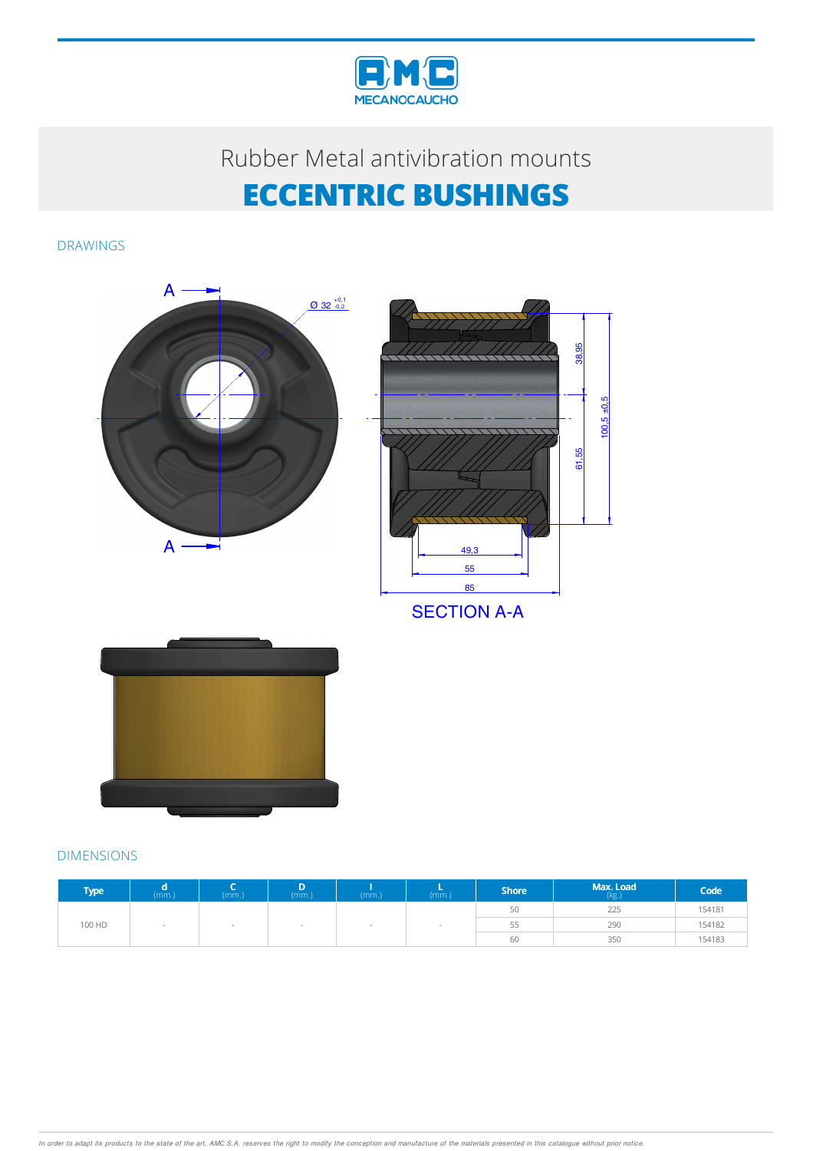

DRAWINGS



| <b>Type</b> | (mm.) | (mm.) | D<br>(mm.) | (mm.) | (mm.) | Shore <sup>'</sup> | Max. Load<br>(kg.) | Code   |
|-------------|-------|-------|------------|-------|-------|--------------------|--------------------|--------|
|             |       |       |            |       |       | 50                 | 225                | 154181 |
| 100 HD      |       |       |            |       |       | ככ                 | 290                | 154182 |
|             |       |       |            |       |       | 60                 | 350                | 154183 |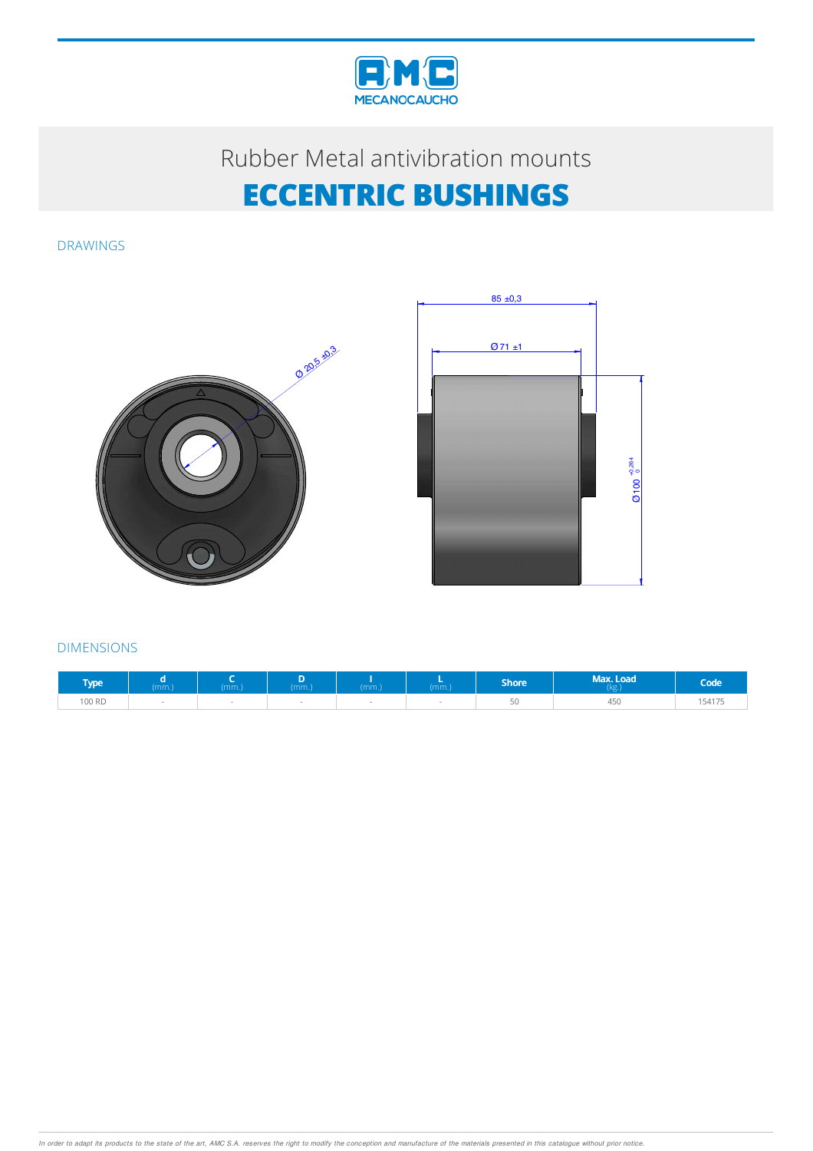

DRAWINGS





| <b>Type</b> | (mm) | $mm.$ ) | (mm.) | (mm.) | (mm.) | Shore <sup>'</sup> | Max. Load<br>(xg) | Code <sup>'</sup> |
|-------------|------|---------|-------|-------|-------|--------------------|-------------------|-------------------|
| 100 RD      |      |         |       |       |       | $\sqrt{2}$<br>ЭU   | 450               | 154175            |